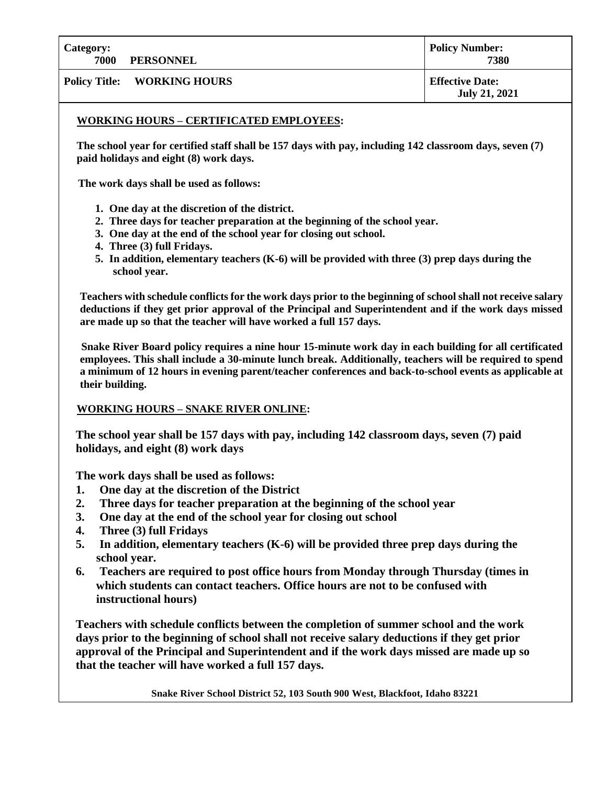**Category: 7000 PERSONNEL**

**Policy Title: WORKING HOURS Effective Date:**

## **WORKING HOURS – CERTIFICATED EMPLOYEES:**

**1. The school year for certified staff shall be 157 days with pay, including 142 classroom days, seven (7) paid holidays and eight (8) work days.**

**The work days shall be used as follows:**

- **1. One day at the discretion of the district.**
- **2. Three days for teacher preparation at the beginning of the school year.**
- **3. One day at the end of the school year for closing out school.**
- **4. Three (3) full Fridays.**
- **5. In addition, elementary teachers (K-6) will be provided with three (3) prep days during the school year.**

**Teachers with schedule conflicts for the work days prior to the beginning of school shall not receive salary deductions if they get prior approval of the Principal and Superintendent and if the work days missed are made up so that the teacher will have worked a full 157 days.**

**Snake River Board policy requires a nine hour 15-minute work day in each building for all certificated employees. This shall include a 30-minute lunch break. Additionally, teachers will be required to spend a minimum of 12 hours in evening parent/teacher conferences and back-to-school events as applicable at their building.** 

## **WORKING HOURS – SNAKE RIVER ONLINE:**

**The school year shall be 157 days with pay, including 142 classroom days, seven (7) paid holidays, and eight (8) work days**

**The work days shall be used as follows:**

- **1. One day at the discretion of the District**
- **2. Three days for teacher preparation at the beginning of the school year**
- **3. One day at the end of the school year for closing out school**
- **4. Three (3) full Fridays**
- **5. In addition, elementary teachers (K-6) will be provided three prep days during the school year.**
- **6. Teachers are required to post office hours from Monday through Thursday (times in which students can contact teachers. Office hours are not to be confused with instructional hours)**

**Teachers with schedule conflicts between the completion of summer school and the work days prior to the beginning of school shall not receive salary deductions if they get prior approval of the Principal and Superintendent and if the work days missed are made up so that the teacher will have worked a full 157 days.**

**Snake River School District 52, 103 South 900 West, Blackfoot, Idaho 83221**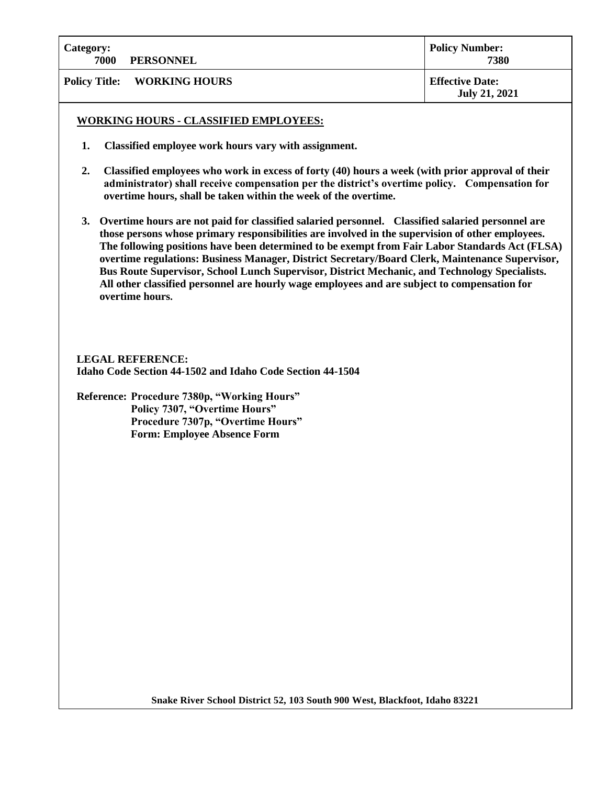| <b>Category:</b><br>7000 | <b>PERSONNEL</b>                   | <b>Policy Number:</b><br>7380                  |
|--------------------------|------------------------------------|------------------------------------------------|
|                          | <b>Policy Title: WORKING HOURS</b> | <b>Effective Date:</b><br><b>July 21, 2021</b> |

## **WORKING HOURS - CLASSIFIED EMPLOYEES:**

- **1. Classified employee work hours vary with assignment.**
- **2. Classified employees who work in excess of forty (40) hours a week (with prior approval of their administrator) shall receive compensation per the district's overtime policy. Compensation for overtime hours, shall be taken within the week of the overtime.**
- **3. Overtime hours are not paid for classified salaried personnel. Classified salaried personnel are those persons whose primary responsibilities are involved in the supervision of other employees. The following positions have been determined to be exempt from Fair Labor Standards Act (FLSA) overtime regulations: Business Manager, District Secretary/Board Clerk, Maintenance Supervisor, Bus Route Supervisor, School Lunch Supervisor, District Mechanic, and Technology Specialists. All other classified personnel are hourly wage employees and are subject to compensation for overtime hours.**

**LEGAL REFERENCE: Idaho Code Section 44-1502 and Idaho Code Section 44-1504**

**Reference: Procedure 7380p, "Working Hours" Policy 7307, "Overtime Hours" Procedure 7307p, "Overtime Hours" Form: Employee Absence Form**

**Snake River School District 52, 103 South 900 West, Blackfoot, Idaho 83221**